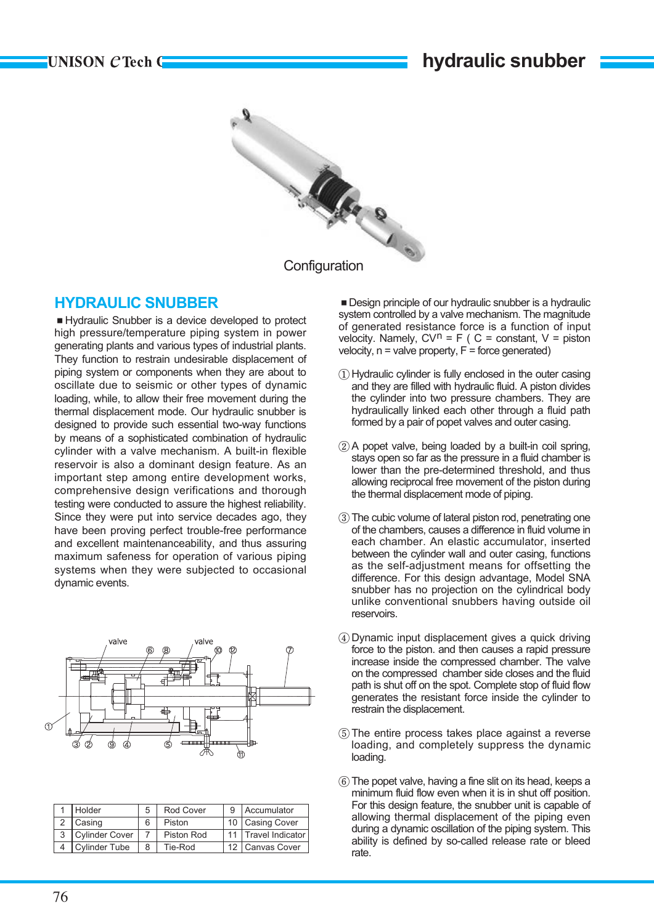

### **HYDRAULIC SNUBBER**

■ Hydraulic Snubber is a device developed to protect high pressure/temperature piping system in power generating plants and various types of industrial plants. They function to restrain undesirable displacement of piping system or components when they are about to oscillate due to seismic or other types of dynamic loading, while, to allow their free movement during the thermal displacement mode. Our hydraulic snubber is designed to provide such essential two-way functions by means of a sophisticated combination of hydraulic cylinder with a valve mechanism. A built-in flexible reservoir is also a dominant design feature. As an important step among entire development works, comprehensive design verifications and thorough testing were conducted to assure the highest reliability. Since they were put into service decades ago, they have been proving perfect trouble-free performance and excellent maintenanceability, and thus assuring maximum safeness for operation of various piping systems when they were subjected to occasional dynamic events.



| Holder               |   | Rod Cover  | 9 Accumulator         |
|----------------------|---|------------|-----------------------|
| 2 Casing             |   | Piston     | 10 Casing Cover       |
| 3   Cylinder Cover   |   | Piston Rod | 11   Travel Indicator |
| <b>Cylinder Tube</b> | 8 | Tie-Rod    | 12 Canvas Cover       |

■ Design principle of our hydraulic snubber is a hydraulic system controlled by a valve mechanism. The magnitude of generated resistance force is a function of input velocity. Namely,  $CV^n = F$  (  $C$  = constant,  $V =$  piston velocity,  $n =$  valve property,  $F =$  force generated)

- ① Hydraulic cylinder is fully enclosed in the outer casing and they are filled with hydraulic fluid. A piston divides the cylinder into two pressure chambers. They are hydraulically linked each other through a fluid path formed by a pair of popet valves and outer casing.
- $(2)$  A popet valve, being loaded by a built-in coil spring, stays open so far as the pressure in a fluid chamber is lower than the pre-determined threshold, and thus allowing reciprocal free movement of the piston during the thermal displacement mode of piping.
- ③ The cubic volume of lateral piston rod, penetrating one of the chambers, causes a difference in fluid volume in each chamber. An elastic accumulator, inserted between the cylinder wall and outer casing, functions as the self-adjustment means for offsetting the difference. For this design advantage, Model SNA snubber has no projection on the cylindrical body unlike conventional snubbers having outside oil reservoirs.
- ④ Dynamic input displacement gives a quick driving force to the piston. and then causes a rapid pressure increase inside the compressed chamber. The valve on the compressed chamber side closes and the fluid path is shut off on the spot. Complete stop of fluid flow generates the resistant force inside the cylinder to restrain the displacement.
- ⑤ The entire process takes place against a reverse loading, and completely suppress the dynamic loading.
- ⑥ The popet valve, having a fine slit on its head, keeps a minimum fluid flow even when it is in shut off position. For this design feature, the snubber unit is capable of allowing thermal displacement of the piping even during a dynamic oscillation of the piping system. This ability is defined by so-called release rate or bleed rate.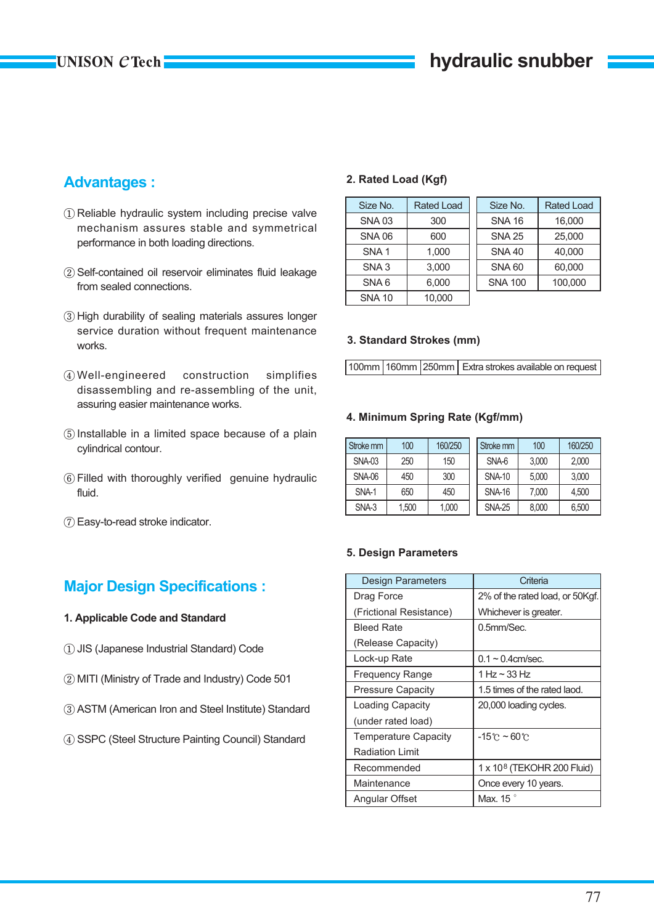## **UNISON CTech-**

# **Advantages :**

- ① Reliable hydraulic system including precise valve mechanism assures stable and symmetrical performance in both loading directions.
- ② Self-contained oil reservoir eliminates fluid leakage from sealed connections.
- ③ High durability of sealing materials assures longer service duration without frequent maintenance works.
- ④ Well-engineered construction simplifies disassembling and re-assembling of the unit, assuring easier maintenance works.
- ⑤ Installable in a limited space because of a plain cylindrical contour.
- ⑥ Filled with thoroughly verified genuine hydraulic fluid.
- ⑦ Easy-to-read stroke indicator.

## **Major Design Specifications :**

### **1. Applicable Code and Standard**

- ① JIS (Japanese Industrial Standard) Code
- ② MITI (Ministry of Trade and Industry) Code 501
- ③ ASTM (American Iron and Steel Institute) Standard
- ④ SSPC (Steel Structure Painting Council) Standard

### **2. Rated Load (Kgf)**

| Size No.         | <b>Rated Load</b> | Size No.       | <b>Rated Load</b> |
|------------------|-------------------|----------------|-------------------|
| <b>SNA03</b>     | 300               | <b>SNA 16</b>  | 16,000            |
| <b>SNA 06</b>    | 600               | <b>SNA 25</b>  | 25.000            |
| SNA <sub>1</sub> | 1.000             | <b>SNA 40</b>  | 40.000            |
| SNA <sub>3</sub> | 3,000             | <b>SNA 60</b>  | 60,000            |
| SNA6             | 6.000             | <b>SNA 100</b> | 100.000           |
| <b>SNA 10</b>    | 10,000            |                |                   |

#### **3. Standard Strokes (mm)**

100mm 160mm 250mm Extra strokes available on request

### **4. Minimum Spring Rate (Kgf/mm)**

| Stroke mm     | 100        | 160/250 | Stroke mm     | 100   | 160/250 |
|---------------|------------|---------|---------------|-------|---------|
| <b>SNA-03</b> | 250        | 150     | SNA-6         | 3,000 | 2,000   |
| <b>SNA-06</b> | 300<br>450 |         | <b>SNA-10</b> | 5.000 | 3,000   |
| SNA-1         | 650        | 450     | <b>SNA-16</b> | 7.000 | 4,500   |
| SNA-3         | 1,500      | 1,000   | <b>SNA-25</b> | 8,000 | 6,500   |

### **5. Design Parameters**

| <b>Design Parameters</b>    | Criteria                               |
|-----------------------------|----------------------------------------|
| Drag Force                  | 2% of the rated load, or 50Kgf.        |
| (Frictional Resistance)     | Whichever is greater.                  |
| <b>Bleed Rate</b>           | 0.5mm/Sec.                             |
| (Release Capacity)          |                                        |
| Lock-up Rate                | $0.1 \sim 0.4$ cm/sec.                 |
| Frequency Range             | 1 Hz $\sim$ 33 Hz                      |
| <b>Pressure Capacity</b>    | 1.5 times of the rated laod.           |
| Loading Capacity            | 20,000 loading cycles.                 |
| (under rated load)          |                                        |
| <b>Temperature Capacity</b> | $-15^\circ$ C ~ 60 $^\circ$ C          |
| <b>Radiation Limit</b>      |                                        |
| Recommended                 | 1 x 10 <sup>8</sup> (TEKOHR 200 Fluid) |
| Maintenance                 | Once every 10 years.                   |
| Angular Offset              | Max. 15                                |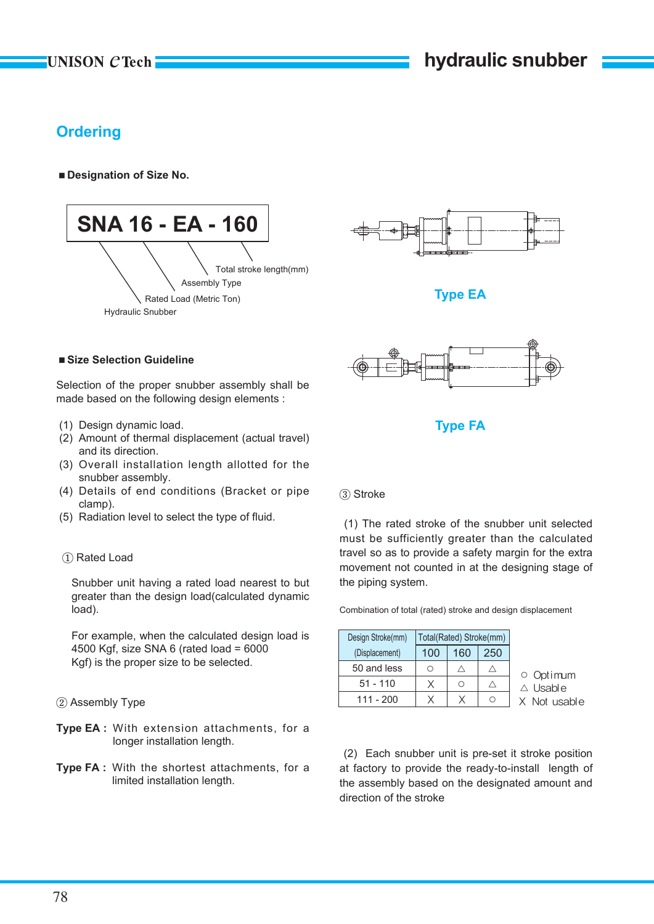# **Ordering**

### ■ Designation of Size No.





**Type EA**

### ■ Size Selection Guideline

Selection of the proper snubber assembly shall be made based on the following design elements :

- (1) Design dynamic load.
- (2) Amount of thermal displacement (actual travel) and its direction.
- (3) Overall installation length allotted for the snubber assembly.
- (4) Details of end conditions (Bracket or pipe clamp).
- (5) Radiation level to select the type of fluid.

### ① Rated Load

Snubber unit having a rated load nearest to but greater than the design load(calculated dynamic load).

For example, when the calculated design load is 4500 Kgf, size SNA 6 (rated load = 6000 Kgf) is the proper size to be selected.

② Assembly Type

- Type EA : With extension attachments, for a longer installation length.
- **Type FA :** With the shortest attachments, for a limited installation length.



**Type FA**

### ③ Stroke

(1) The rated stroke of the snubber unit selected must be sufficiently greater than the calculated travel so as to provide a safety margin for the extra movement not counted in at the designing stage of the piping system.

Combination of total (rated) stroke and design displacement

| Design Stroke(mm) | Total(Rated) Stroke(mm) |     |     |  |  |
|-------------------|-------------------------|-----|-----|--|--|
| (Displacement)    | 100                     | 160 | 250 |  |  |
| 50 and less       | Ω                       |     |     |  |  |
| $51 - 110$        |                         | ∩   |     |  |  |
| $111 - 200$       |                         |     |     |  |  |

○ Opt imum Jsabl e

(2) Each snubber unit is pre-set it stroke position at factory to provide the ready-to-install length of the assembly based on the designated amount and direction of the stroke

**Vot usable**